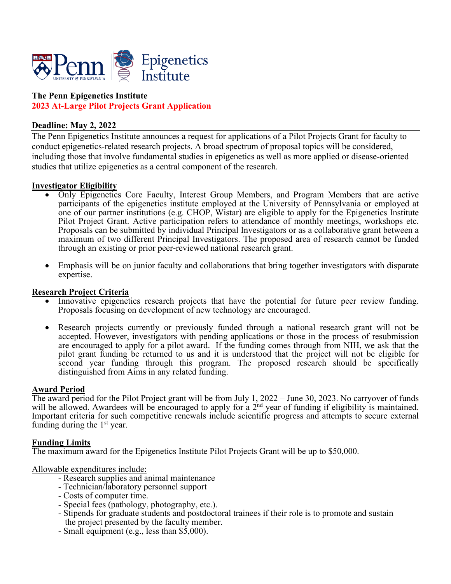

# **The Penn Epigenetics Institute 2023 At-Large Pilot Projects Grant Application**

## **Deadline: May 2, 2022**

The Penn Epigenetics Institute announces a request for applications of a Pilot Projects Grant for faculty to conduct epigenetics-related research projects. A broad spectrum of proposal topics will be considered, including those that involve fundamental studies in epigenetics as well as more applied or disease-oriented studies that utilize epigenetics as a central component of the research.

## **Investigator Eligibility**

- Only Epigenetics Core Faculty, Interest Group Members, and Program Members that are active participants of the epigenetics institute employed at the University of Pennsylvania or employed at one of our partner institutions (e.g. CHOP, Wistar) are eligible to apply for the Epigenetics Institute Pilot Project Grant. Active participation refers to attendance of monthly meetings, workshops etc. Proposals can be submitted by individual Principal Investigators or as a collaborative grant between a maximum of two different Principal Investigators. The proposed area of research cannot be funded through an existing or prior peer-reviewed national research grant.
- Emphasis will be on junior faculty and collaborations that bring together investigators with disparate expertise.

#### **Research Project Criteria**

- Innovative epigenetics research projects that have the potential for future peer review funding. Proposals focusing on development of new technology are encouraged.
- Research projects currently or previously funded through a national research grant will not be accepted. However, investigators with pending applications or those in the process of resubmission are encouraged to apply for a pilot award. If the funding comes through from NIH, we ask that the pilot grant funding be returned to us and it is understood that the project will not be eligible for second year funding through this program. The proposed research should be specifically distinguished from Aims in any related funding.

#### **Award Period**

The award period for the Pilot Project grant will be from July 1, 2022 – June 30, 2023. No carryover of funds will be allowed. Awardees will be encouraged to apply for a 2<sup>nd</sup> year of funding if eligibility is maintained. Important criteria for such competitive renewals include scientific progress and attempts to secure external funding during the 1st year.

#### **Funding Limits**

The maximum award for the Epigenetics Institute Pilot Projects Grant will be up to \$50,000.

- Allowable expenditures include: Research supplies and animal maintenance Technician/laboratory personnel support
	-
	- Costs of computer time.
	- Special fees (pathology, photography, etc.).
	- Stipends for graduate students and postdoctoral trainees if their role is to promote and sustain the project presented by the faculty member. - Small equipment (e.g., less than \$5,000).
	-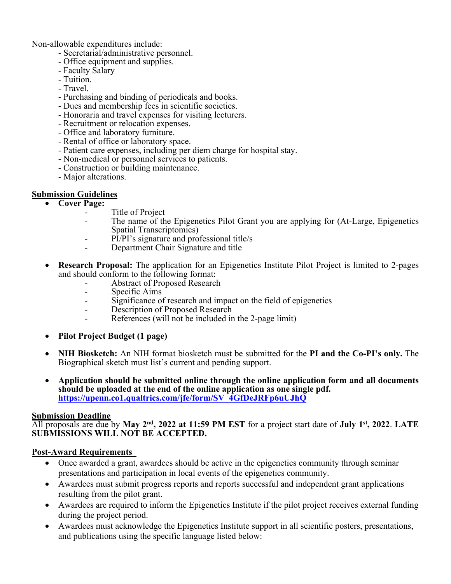Non-allowable expenditures include:

- Secretarial/administrative personnel.
- Office equipment and supplies.
- Faculty Salary
- Tuition.
- 
- Travel.<br>- Purchasing and binding of periodicals and books.
- Dues and membership fees in scientific societies.
- Honoraria and travel expenses for visiting lecturers.
- Recruitment or relocation expenses.
- Office and laboratory furniture.
- Rental of office or laboratory space.
- Patient care expenses, including per diem charge for hospital stay.
- Non-medical or personnel services to patients. Construction or building maintenance.
- 
- Major alterations.
- 

# **Submission Guidelines** • **Cover Page:**

- 
- Title of Project<br>The name of the Epigenetics Pilot Grant you are applying for (At-Large, Epigenetics Spatial Transcriptomics)
- PI/PI's signature and professional title/s<br>Department Chair Signature and title
- 
- **Research Proposal:** The application for an Epigenetics Institute Pilot Project is limited to 2-pages and should conform to the following format:
	-
	-
	- Abstract of Proposed Research<br>- Specific Aims<br>- Significance of research and impact on the field of epigenetics
	- Description of Proposed Research
	- References (will not be included in the 2-page limit)
- **Pilot Project Budget (1 page)**
- **NIH Biosketch:** An NIH format biosketch must be submitted for the **PI and the Co-PI's only.** The Biographical sketch must list's current and pending support.
- **Application should be submitted online through the online application form and all documents should be uploaded at the end of the online application as one single pdf. https://upenn.co1.qualtrics.com/jfe/form/SV\_4GfDeJRFp6uUJhQ**

# **Submission Deadline**

All proposals are due by **May 2nd, 2022 at 11:59 PM EST** for a project start date of **July 1st, 2022**. **LATE SUBMISSIONS WILL NOT BE ACCEPTED.**

# **Post-Award Requirements**

- Once awarded a grant, awardees should be active in the epigenetics community through seminar presentations and participation in local events of the epigenetics community.
- Awardees must submit progress reports and reports successful and independent grant applications resulting from the pilot grant.
- Awardees are required to inform the Epigenetics Institute if the pilot project receives external funding during the project period.
- Awardees must acknowledge the Epigenetics Institute support in all scientific posters, presentations, and publications using the specific language listed below: